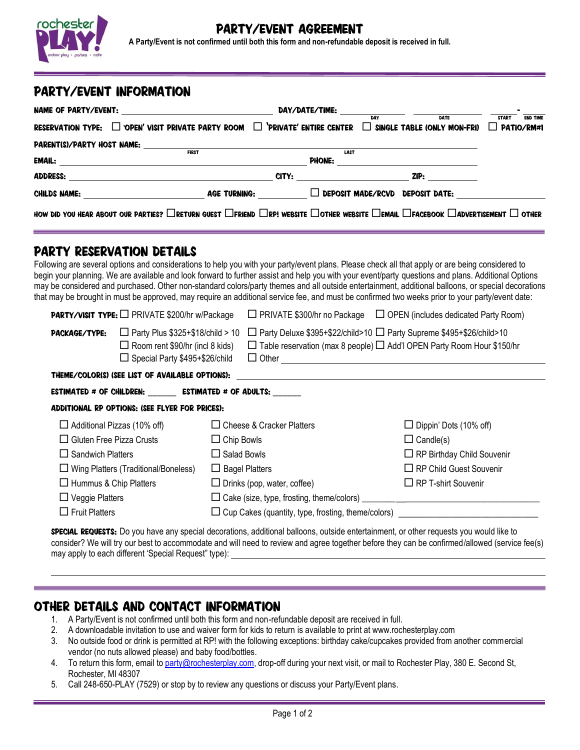

#### Y/EVENT AGREEMENT

**A Party/Event is not confirmed until both this form and non-refundable deposit is received in full.**

### party/Event Information

|                 |                                                                                                                                                                                                                                |  |             | <b>DAY/DATE/TIME:</b> DAY DAY DATE TRE               |              |                 |
|-----------------|--------------------------------------------------------------------------------------------------------------------------------------------------------------------------------------------------------------------------------|--|-------------|------------------------------------------------------|--------------|-----------------|
|                 | RESERVATION TYPE: $\square$ 'OPEN' VISIT PRIVATE PARTY ROOM $\square$ 'PRIVATE' ENTIRE CENTER                                                                                                                                  |  |             | $\Box$ SINGLE TABLE (ONLY MON-FRI) $\Box$ PATIO/RM#1 | <b>START</b> | <b>END TIME</b> |
|                 |                                                                                                                                                                                                                                |  |             |                                                      |              |                 |
|                 | <b>FIRST</b><br>EMAIL: EMAIL:                                                                                                                                                                                                  |  | <b>LAST</b> |                                                      |              |                 |
| <b>ADDRESS:</b> | <u> 1989 - Johann Barbara, martin amerikan personal (</u>                                                                                                                                                                      |  |             |                                                      |              |                 |
|                 | CHILDS NAME: THE RESIDENCE OF THE RESIDENCE OF THE RESIDENCE OF THE RESIDENCE OF THE RESIDENCE OF THE RESIDENCE OF THE RESIDENCE OF THE RESIDENCE OF THE RESIDENCE OF THE RESIDENCE OF THE RESIDENCE OF THE RESIDENCE OF THE R |  |             | AGE TURNING: $\Box$ DEPOSIT MADE/RCVD DEPOSIT DATE:  |              |                 |
|                 | HOW DID YOU HEAR ABOUT OUR PARTIES? DRETURN GUEST DFRIEND DRP! WEBSITE DOTHER WEBSITE DEMAIL DFACEBOOK DADVERTISEMENT DOTHER                                                                                                   |  |             |                                                      |              |                 |

#### Party reservation details

Following are several options and considerations to help you with your party/event plans. Please check all that apply or are being considered to begin your planning. We are available and look forward to further assist and help you with your event/party questions and plans. Additional Options may be considered and purchased. Other non-standard colors/party themes and all outside entertainment, additional balloons, or special decorations that may be brought in must be approved, may require an additional service fee, and must be confirmed two weeks prior to your party/event date:

| <b>PARTY/VISIT TYPE:</b> PRIVATE \$200/hr w/Package                           |                                                                                                                       |                                                                                                                                                                        | $\Box$ PRIVATE \$300/hr no Package $\Box$ OPEN (includes dedicated Party Room) |  |  |
|-------------------------------------------------------------------------------|-----------------------------------------------------------------------------------------------------------------------|------------------------------------------------------------------------------------------------------------------------------------------------------------------------|--------------------------------------------------------------------------------|--|--|
| PACKAGE/TYPE:                                                                 | $\Box$ Party Plus \$325+\$18/child > 10<br>$\Box$ Room rent \$90/hr (incl 8 kids)<br>□ Special Party \$495+\$26/child | $\Box$ Party Deluxe \$395+\$22/child>10 $\Box$ Party Supreme \$495+\$26/child>10<br>$\Box$ Table reservation (max 8 people) $\Box$ Add'l OPEN Party Room Hour \$150/hr |                                                                                |  |  |
| THEME/COLORIS) ISEE LIST OF AVAILABLE OPTIONS):                               |                                                                                                                       |                                                                                                                                                                        |                                                                                |  |  |
|                                                                               | ESTIMATED # OF CHILDREN: ESTIMATED # OF ADULTS:                                                                       |                                                                                                                                                                        |                                                                                |  |  |
| ADDITIONAL RP OPTIONS: (SEE FLYER FOR PRICES):                                |                                                                                                                       |                                                                                                                                                                        |                                                                                |  |  |
| $\Box$ Additional Pizzas (10% off)                                            |                                                                                                                       | □ Cheese & Cracker Platters                                                                                                                                            | $\Box$ Dippin' Dots (10% off)                                                  |  |  |
| $\Box$ Gluten Free Pizza Crusts                                               | $\Box$ Chip Bowls                                                                                                     |                                                                                                                                                                        | $\Box$ Candle(s)                                                               |  |  |
| $\Box$ Sandwich Platters                                                      | $\Box$ Salad Bowls                                                                                                    |                                                                                                                                                                        | $\Box$ RP Birthday Child Souvenir                                              |  |  |
| $\Box$ Wing Platters (Traditional/Boneless)                                   |                                                                                                                       | $\Box$ Bagel Platters                                                                                                                                                  | $\Box$ RP Child Guest Souvenir                                                 |  |  |
| $\Box$ Hummus & Chip Platters                                                 |                                                                                                                       | $\Box$ Drinks (pop, water, coffee)                                                                                                                                     | $\Box$ RP T-shirt Souvenir                                                     |  |  |
| $\Box$ Veggie Platters                                                        |                                                                                                                       |                                                                                                                                                                        |                                                                                |  |  |
| $\Box$ Fruit Platters<br>□ Cup Cakes (quantity, type, frosting, theme/colors) |                                                                                                                       |                                                                                                                                                                        |                                                                                |  |  |

**SPECIAL REQUESTS:** Do you have any special decorations, additional balloons, outside entertainment, or other requests you would like to consider? We will try our best to accommodate and will need to review and agree together before they can be confirmed/allowed (service fee(s) may apply to each different 'Special Request" type):

#### Other details and Contact information

- 1. A Party/Event is not confirmed until both this form and non-refundable deposit are received in full.
- 2. A downloadable invitation to use and waiver form for kids to return is available to print at www.rochesterplay.com
- 3. No outside food or drink is permitted at RP! with the following exceptions: birthday cake/cupcakes provided from another commercial vendor (no nuts allowed please) and baby food/bottles.
- 4. To return this form, email t[o party@rochesterplay.com,](mailto:party@rochesterplay.com) drop-off during your next visit, or mail to Rochester Play, 380 E. Second St, Rochester, MI 48307
- 5. Call 248-650-PLAY (7529) or stop by to review any questions or discuss your Party/Event plans.